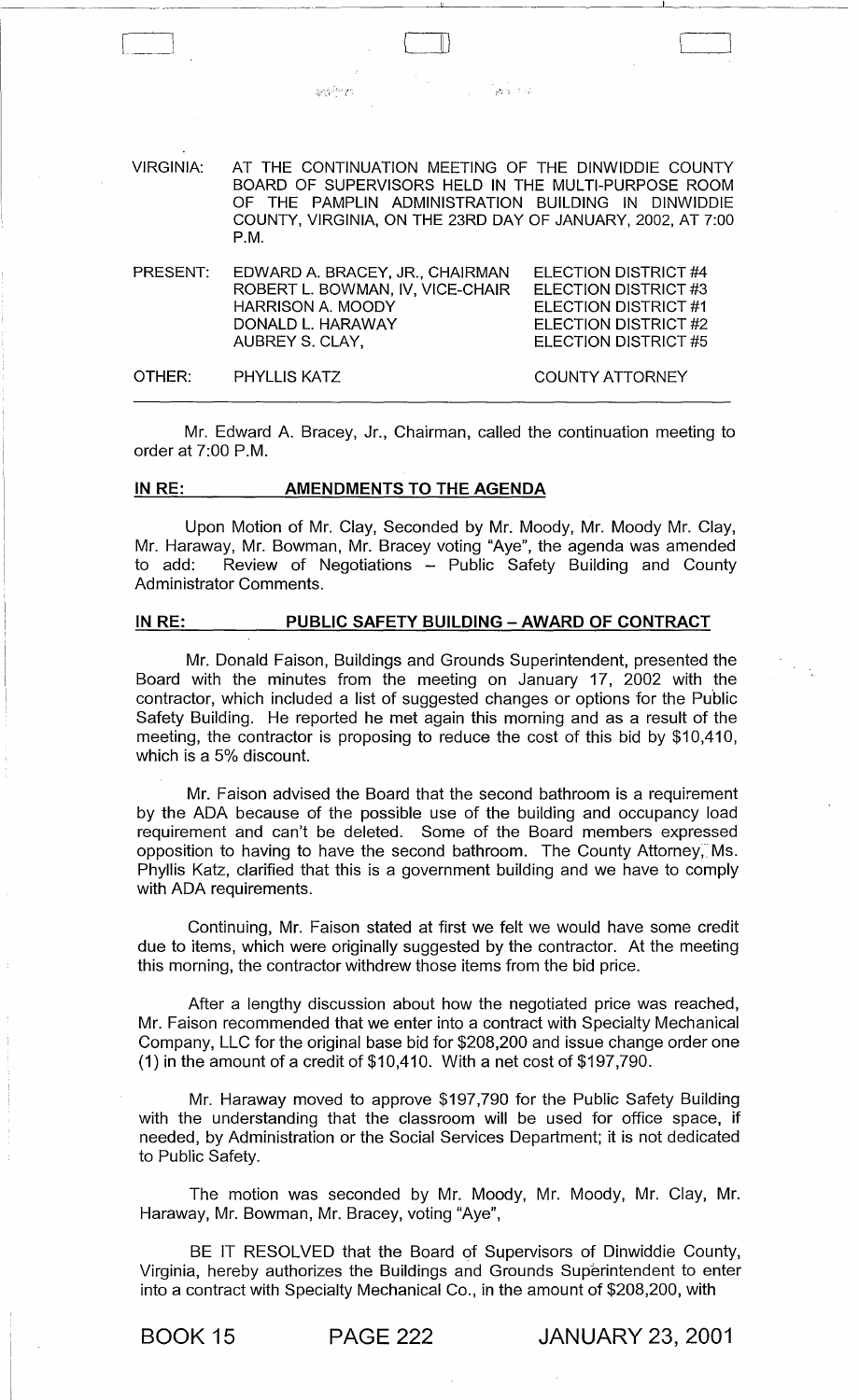| VIRGINIA: | AT THE CONTINUATION MEETING OF THE DINWIDDIE COUNTY<br>BOARD OF SUPERVISORS HELD IN THE MULTI-PURPOSE ROOM<br>OF THE PAMPLIN ADMINISTRATION BUILDING IN DINWIDDIE<br>COUNTY, VIRGINIA, ON THE 23RD DAY OF JANUARY, 2002, AT 7:00<br>P.M. |                                                                                              |
|-----------|------------------------------------------------------------------------------------------------------------------------------------------------------------------------------------------------------------------------------------------|----------------------------------------------------------------------------------------------|
| PRESENT:  | EDWARD A. BRACEY, JR., CHAIRMAN<br>ROBERT L. BOWMAN, IV, VICE-CHAIR<br><b>HARRISON A. MOODY</b><br>DONALD L. HARAWAY                                                                                                                     | ELECTION DISTRICT #4<br>ELECTION DISTRICT #3<br>ELECTION DISTRICT #1<br>ELECTION DISTRICT #2 |

.<br><sub>대</sub>학교 : 기술

'----}

ELECTION DISTRICT #5

COUNTY ATTORNEY

OTHER: PHYLLIS KATZ

AUBREY S. CLAY,

 $\mathcal{L}^{\alpha_1}_{\mathbf{q}}\mathcal{L}^{\beta_2}_{\mathbf{q}}$ 

---~--~-

Mr. Edward A. Bracey, Jr., Chairman, called the continuation meeting to order at 7:00 P.M.

## IN RE: AMENDMENTS TO THE AGENDA

Upon Motion of Mr. Clay, Seconded by Mr. Moody, Mr. Moody Mr. Clay, Mr. Haraway, Mr. Bowman, Mr. Bracey voting "Aye", the agenda was amended to add: Review of Negotiations - Public Safety Building and County Administrator Comments.

# IN RE: PUBLIC SAFETY BUILDING - AWARD OF CONTRACT

Mr. Donald Faison, Buildings and Grounds Superintendent, presented the Board with the minutes from the meeting on January 17, 2002 with the contractor, which included a list of suggested changes or options for the Public Safety Building. He reported he met again this morning and as a result of the meeting, the contractor is proposing to reduce the cost of this bid by \$10,410, which is a 5% discount.

Mr. Faison advised the Board that the second bathroom is a requirement by the ADA because of the possible use of the building and occupancy load requirement and can't be deleted. Some of the Board members expressed opposition to having to have the second bathroom. The County Attorney, Ms. Phyllis Katz, clarified that this is a government building and we have to comply with ADA requirements.

Continuing, Mr. Faison stated at first we felt we would have some credit due to items, which were originally suggested by the contractor. At the meeting this morning, the contractor withdrew those items from the bid price.

After a lengthy discussion about how the negotiated price was reached, Mr. Faison recommended that we enter into a contract with Specialty Mechanical Company, LLC for the original base bid for \$208,200 and issue change order one (1) in the amount of a credit of \$10,410. With a net cost of \$197,790.

Mr. Haraway moved to approve \$197,790 for the Public Safety Building with the understanding that the classroom will be used for office space, if needed, by Administration or the Social Services Department; it is not dedicated to Public Safety.

The motion was seconded by Mr. Moody, Mr. Moody, Mr. Clay, Mr. Haraway, Mr. Bowman, Mr. Bracey, voting "Aye",

BE IT RESOLVED that the Board of Supervisors of Dinwiddie County, Virginia, hereby authorizes the Buildings and Grounds Superintendent to enter into a contract with Specialty Mechanical Co., in the amount of \$208,200, with

BOOK 15 PAGE 222 JANUARY 23, 2001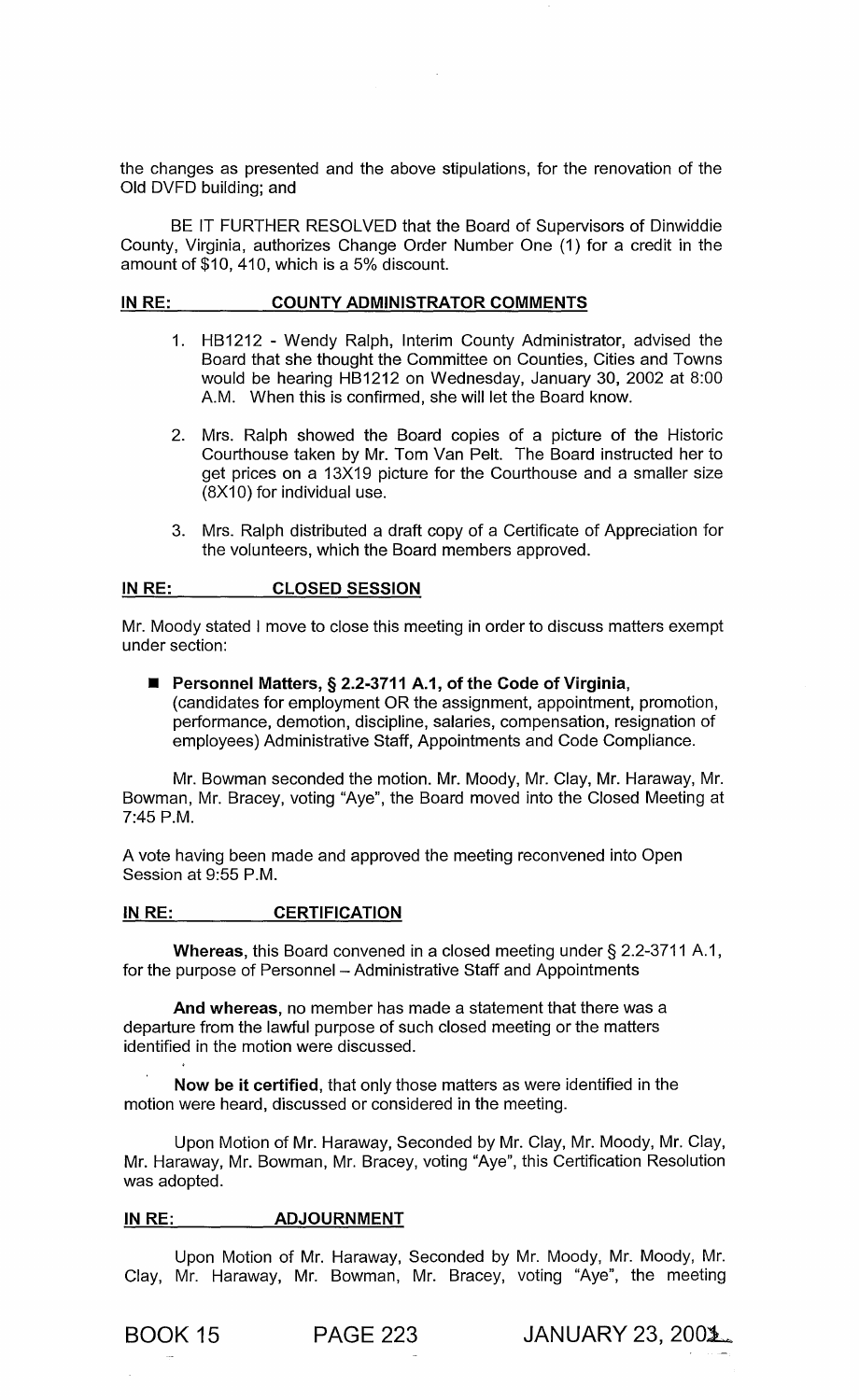the changes as presented and the above stipulations, for the renovation of the Old DVFD building; and

BE IT FURTHER RESOLVED that the Board of Supervisors of Dinwiddie County, Virginia, authorizes Change Order Number One (1) for a credit in the amount of \$10,410, which is a 5% discount.

#### IN RE: COUNTY ADMINISTRATOR COMMENTS

- 1. HB1212 Wendy Ralph, Interim County Administrator, advised the Board that she thought the Committee on Counties, Cities and Towns would be hearing HB1212 on Wednesday, January 30, 2002 at 8:00 A.M. When this is confirmed, she will let the Board know.
- 2. Mrs. Ralph showed the Board copies of a picture of the Historic Courthouse taken by Mr. Tom Van Pelt. The Board instructed her to get prices on a 13X19 picture for the Courthouse and a smaller size  $(8X10)$  for individual use.
- 3. Mrs. Ralph distributed a draft copy of a Certificate of Appreciation for the volunteers, which the Board members approved.

#### IN RE: CLOSED SESSION

Mr. Moody stated I move to close this meeting in order to discuss matters exempt under section:

■ Personnel Matters, § 2.2-3711 A.1, of the Code of Virginia, (candidates for employment OR the assignment, appointment, promotion, performance, demotion, discipline, salaries, compensation, resignation of employees) Administrative Staff, Appointments and Code Compliance.

Mr. Bowman seconded the motion. Mr. Moody, Mr. Clay, Mr. Haraway, Mr. Bowman, Mr. Bracey, voting "Aye", the Board moved into the Closed Meeting at 7:45 P.M.

A vote having been made and approved the meeting reconvened into Open Session at 9:55 P.M.

### IN RE: **CERTIFICATION**

Whereas, this Board convened in a closed meeting under § 2.2-3711 A.1, for the purpose of Personnel - Administrative Staff and Appointments

And whereas, no member has made a statement that there was a departure from the lawful purpose of such closed meeting or the matters identified in the motion were discussed.

Now be it certified, that only those matters as were identified in the motion were heard, discussed or considered in the meeting.

Upon Motion of Mr. Haraway, Seconded by Mr. Clay, Mr. Moody, Mr. Clay, Mr. Haraway, Mr. Bowman, Mr. Bracey, voting "Aye", this Certification Resolution was adopted.

### IN RE: **ADJOURNMENT**

Upon Motion of Mr. Haraway, Seconded by Mr. Moody, Mr. Moody, Mr. Clay, Mr. Haraway, Mr. Bowman, Mr. Bracey, voting "Aye", the meeting

**BOOK 15 PAGE 223 JANUARY 23, 2001.**